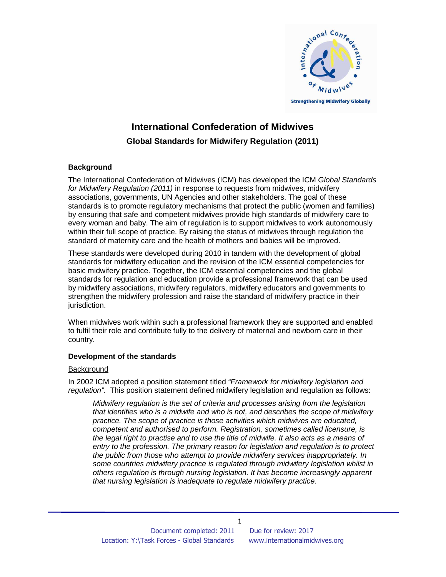

# **International Confederation of Midwives Global Standards for Midwifery Regulation (2011)**

# **Background**

The International Confederation of Midwives (ICM) has developed the ICM Global Standards for Midwifery Regulation (2011) in response to requests from midwives, midwifery associations, governments, UN Agencies and other stakeholders. The goal of these standards is to promote regulatory mechanisms that protect the public (women and families) by ensuring that safe and competent midwives provide high standards of midwifery care to every woman and baby. The aim of regulation is to support midwives to work autonomously within their full scope of practice. By raising the status of midwives through regulation the standard of maternity care and the health of mothers and babies will be improved.

These standards were developed during 2010 in tandem with the development of global standards for midwifery education and the revision of the ICM essential competencies for basic midwifery practice. Together, the ICM essential competencies and the global standards for regulation and education provide a professional framework that can be used by midwifery associations, midwifery regulators, midwifery educators and governments to strengthen the midwifery profession and raise the standard of midwifery practice in their jurisdiction.

When midwives work within such a professional framework they are supported and enabled to fulfil their role and contribute fully to the delivery of maternal and newborn care in their country.

#### **Development of the standards**

#### **Background**

In 2002 ICM adopted a position statement titled "Framework for midwifery legislation and regulation". This position statement defined midwifery legislation and regulation as follows:

Midwifery regulation is the set of criteria and processes arising from the legislation that identifies who is a midwife and who is not, and describes the scope of midwifery practice. The scope of practice is those activities which midwives are educated, competent and authorised to perform. Registration, sometimes called licensure, is the legal right to practise and to use the title of midwife. It also acts as a means of entry to the profession. The primary reason for legislation and regulation is to protect the public from those who attempt to provide midwifery services inappropriately. In some countries midwifery practice is regulated through midwifery legislation whilst in others regulation is through nursing legislation. It has become increasingly apparent that nursing legislation is inadequate to regulate midwifery practice.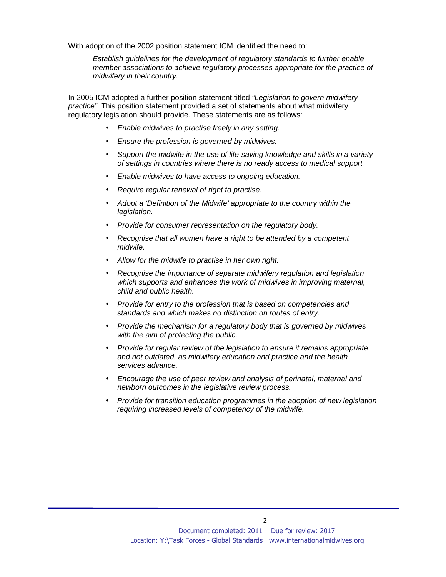With adoption of the 2002 position statement ICM identified the need to:

Establish guidelines for the development of regulatory standards to further enable member associations to achieve regulatory processes appropriate for the practice of midwifery in their country.

In 2005 ICM adopted a further position statement titled "Legislation to govern midwifery practice". This position statement provided a set of statements about what midwifery regulatory legislation should provide. These statements are as follows:

- Enable midwives to practise freely in any setting.
- Ensure the profession is governed by midwives.
- Support the midwife in the use of life-saving knowledge and skills in a variety of settings in countries where there is no ready access to medical support.
- Enable midwives to have access to ongoing education.
- Require regular renewal of right to practise.
- Adopt a 'Definition of the Midwife' appropriate to the country within the legislation.
- Provide for consumer representation on the regulatory body.
- Recognise that all women have a right to be attended by a competent midwife.
- Allow for the midwife to practise in her own right.
- Recognise the importance of separate midwifery regulation and legislation which supports and enhances the work of midwives in improving maternal, child and public health.
- Provide for entry to the profession that is based on competencies and standards and which makes no distinction on routes of entry.
- Provide the mechanism for a regulatory body that is governed by midwives with the aim of protecting the public.
- Provide for regular review of the legislation to ensure it remains appropriate and not outdated, as midwifery education and practice and the health services advance.
- Encourage the use of peer review and analysis of perinatal, maternal and newborn outcomes in the legislative review process.
- Provide for transition education programmes in the adoption of new legislation requiring increased levels of competency of the midwife.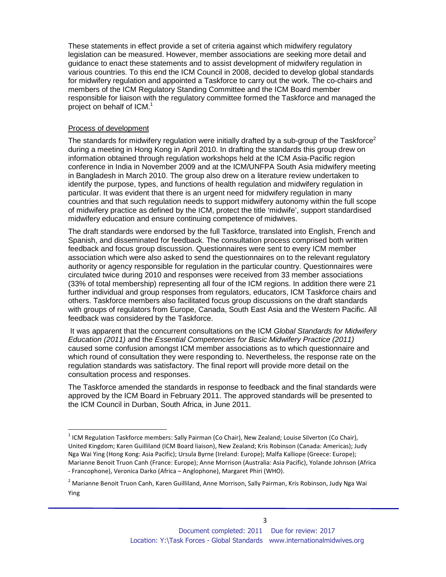These statements in effect provide a set of criteria against which midwifery regulatory legislation can be measured. However, member associations are seeking more detail and guidance to enact these statements and to assist development of midwifery regulation in various countries. To this end the ICM Council in 2008, decided to develop global standards for midwifery regulation and appointed a Taskforce to carry out the work. The co-chairs and members of the ICM Regulatory Standing Committee and the ICM Board member responsible for liaison with the regulatory committee formed the Taskforce and managed the project on behalf of ICM.<sup>1</sup>

#### Process of development

1

The standards for midwifery regulation were initially drafted by a sub-group of the Taskforce<sup>2</sup> during a meeting in Hong Kong in April 2010. In drafting the standards this group drew on information obtained through regulation workshops held at the ICM Asia-Pacific region conference in India in November 2009 and at the ICM/UNFPA South Asia midwifery meeting in Bangladesh in March 2010. The group also drew on a literature review undertaken to identify the purpose, types, and functions of health regulation and midwifery regulation in particular. It was evident that there is an urgent need for midwifery regulation in many countries and that such regulation needs to support midwifery autonomy within the full scope of midwifery practice as defined by the ICM, protect the title 'midwife', support standardised midwifery education and ensure continuing competence of midwives.

The draft standards were endorsed by the full Taskforce, translated into English, French and Spanish, and disseminated for feedback. The consultation process comprised both written feedback and focus group discussion. Questionnaires were sent to every ICM member association which were also asked to send the questionnaires on to the relevant regulatory authority or agency responsible for regulation in the particular country. Questionnaires were circulated twice during 2010 and responses were received from 33 member associations (33% of total membership) representing all four of the ICM regions. In addition there were 21 further individual and group responses from regulators, educators, ICM Taskforce chairs and others. Taskforce members also facilitated focus group discussions on the draft standards with groups of regulators from Europe, Canada, South East Asia and the Western Pacific. All feedback was considered by the Taskforce.

It was apparent that the concurrent consultations on the ICM Global Standards for Midwifery Education (2011) and the Essential Competencies for Basic Midwifery Practice (2011) caused some confusion amongst ICM member associations as to which questionnaire and which round of consultation they were responding to. Nevertheless, the response rate on the regulation standards was satisfactory. The final report will provide more detail on the consultation process and responses.

The Taskforce amended the standards in response to feedback and the final standards were approved by the ICM Board in February 2011. The approved standards will be presented to the ICM Council in Durban, South Africa, in June 2011.

 $<sup>1</sup>$  ICM Regulation Taskforce members: Sally Pairman (Co Chair), New Zealand; Louise Silverton (Co Chair),</sup> United Kingdom; Karen Guilliland (ICM Board liaison), New Zealand; Kris Robinson (Canada: Americas); Judy Nga Wai Ying (Hong Kong: Asia Pacific); Ursula Byrne (Ireland: Europe); Malfa Kalliope (Greece: Europe); Marianne Benoit Truon Canh (France: Europe); Anne Morrison (Australia: Asia Pacific), Yolande Johnson (Africa - Francophone), Veronica Darko (Africa – Anglophone), Margaret Phiri (WHO).

<sup>&</sup>lt;sup>2</sup> Marianne Benoit Truon Canh, Karen Guilliland, Anne Morrison, Sally Pairman, Kris Robinson, Judy Nga Wai Ying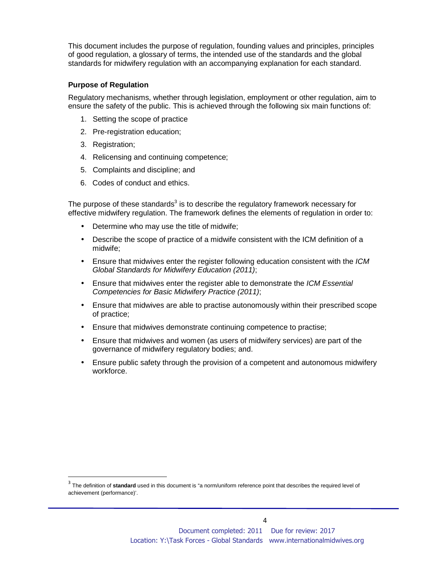This document includes the purpose of regulation, founding values and principles, principles of good regulation, a glossary of terms, the intended use of the standards and the global standards for midwifery regulation with an accompanying explanation for each standard.

#### **Purpose of Regulation**

Regulatory mechanisms, whether through legislation, employment or other regulation, aim to ensure the safety of the public. This is achieved through the following six main functions of:

- 1. Setting the scope of practice
- 2. Pre-registration education;
- 3. Registration;

 $\overline{a}$ 

- 4. Relicensing and continuing competence;
- 5. Complaints and discipline; and
- 6. Codes of conduct and ethics.

The purpose of these standards<sup>3</sup> is to describe the regulatory framework necessary for effective midwifery regulation. The framework defines the elements of regulation in order to:

- Determine who may use the title of midwife;
- Describe the scope of practice of a midwife consistent with the ICM definition of a midwife;
- Ensure that midwives enter the register following education consistent with the ICM Global Standards for Midwifery Education (2011);
- Ensure that midwives enter the register able to demonstrate the ICM Essential Competencies for Basic Midwifery Practice (2011);
- Ensure that midwives are able to practise autonomously within their prescribed scope of practice;
- Ensure that midwives demonstrate continuing competence to practise;
- Ensure that midwives and women (as users of midwifery services) are part of the governance of midwifery regulatory bodies; and.
- Ensure public safety through the provision of a competent and autonomous midwifery workforce.

<sup>&</sup>lt;sup>3</sup> The definition of standard used in this document is "a norm/uniform reference point that describes the required level of achievement (performance)'.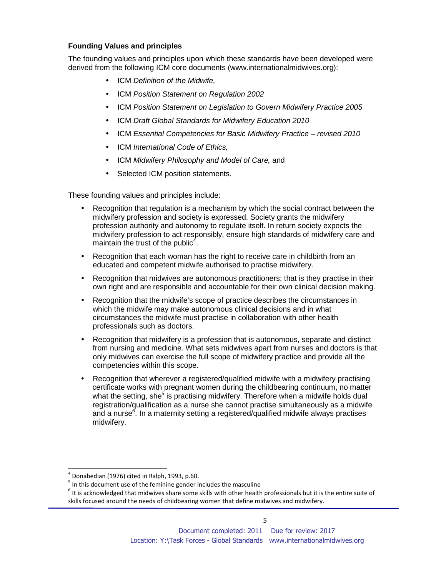# **Founding Values and principles**

The founding values and principles upon which these standards have been developed were derived from the following ICM core documents (www.internationalmidwives.org):

- ICM Definition of the Midwife,
- ICM Position Statement on Regulation 2002
- ICM Position Statement on Legislation to Govern Midwifery Practice 2005
- ICM Draft Global Standards for Midwifery Education 2010
- ICM Essential Competencies for Basic Midwifery Practice revised 2010
- ICM International Code of Ethics,
- ICM Midwifery Philosophy and Model of Care, and
- Selected ICM position statements.

These founding values and principles include:

- Recognition that regulation is a mechanism by which the social contract between the midwifery profession and society is expressed. Society grants the midwifery profession authority and autonomy to regulate itself. In return society expects the midwifery profession to act responsibly, ensure high standards of midwifery care and maintain the trust of the public<sup>4</sup>.
- Recognition that each woman has the right to receive care in childbirth from an educated and competent midwife authorised to practise midwifery.
- Recognition that midwives are autonomous practitioners; that is they practise in their own right and are responsible and accountable for their own clinical decision making.
- Recognition that the midwife's scope of practice describes the circumstances in which the midwife may make autonomous clinical decisions and in what circumstances the midwife must practise in collaboration with other health professionals such as doctors.
- Recognition that midwifery is a profession that is autonomous, separate and distinct from nursing and medicine. What sets midwives apart from nurses and doctors is that only midwives can exercise the full scope of midwifery practice and provide all the competencies within this scope.
- Recognition that wherever a registered/qualified midwife with a midwifery practising certificate works with pregnant women during the childbearing continuum, no matter what the setting, she<sup>5</sup> is practising midwifery. Therefore when a midwife holds dual registration/qualification as a nurse she cannot practise simultaneously as a midwife and a nurse $^6$ . In a maternity setting a registered/qualified midwife always practises midwifery.

 $\overline{a}$ 

<sup>4</sup> Donabedian (1976) cited in Ralph, 1993, p.60.

 $<sup>5</sup>$  In this document use of the feminine gender includes the masculine</sup>

 $<sup>6</sup>$  It is acknowledged that midwives share some skills with other health professionals but it is the entire suite of</sup> skills focused around the needs of childbearing women that define midwives and midwifery.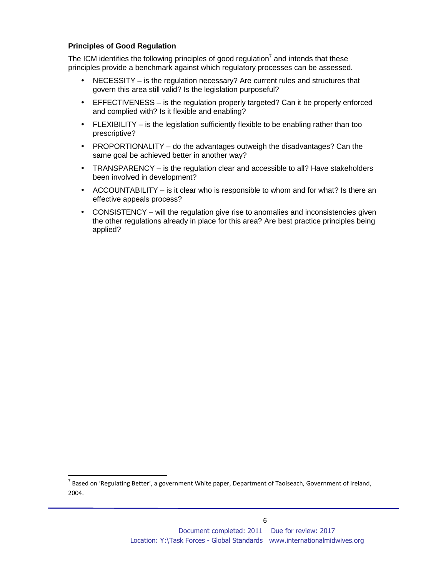## **Principles of Good Regulation**

 $\overline{a}$ 

The ICM identifies the following principles of good regulation<sup>7</sup> and intends that these principles provide a benchmark against which regulatory processes can be assessed.

- NECESSITY is the regulation necessary? Are current rules and structures that govern this area still valid? Is the legislation purposeful?
- EFFECTIVENESS is the regulation properly targeted? Can it be properly enforced and complied with? Is it flexible and enabling?
- FLEXIBILITY is the legislation sufficiently flexible to be enabling rather than too prescriptive?
- PROPORTIONALITY do the advantages outweigh the disadvantages? Can the same goal be achieved better in another way?
- TRANSPARENCY is the regulation clear and accessible to all? Have stakeholders been involved in development?
- ACCOUNTABILITY is it clear who is responsible to whom and for what? Is there an effective appeals process?
- CONSISTENCY will the regulation give rise to anomalies and inconsistencies given the other regulations already in place for this area? Are best practice principles being applied?

 $^7$  Based on 'Regulating Better', a government White paper, Department of Taoiseach, Government of Ireland, 2004.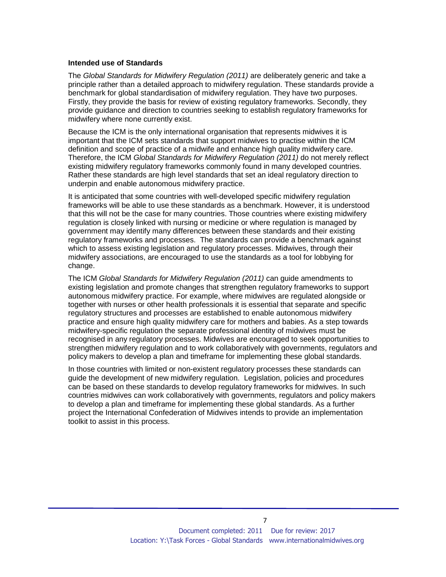#### **Intended use of Standards**

The Global Standards for Midwifery Regulation (2011) are deliberately generic and take a principle rather than a detailed approach to midwifery regulation. These standards provide a benchmark for global standardisation of midwifery regulation. They have two purposes. Firstly, they provide the basis for review of existing regulatory frameworks. Secondly, they provide guidance and direction to countries seeking to establish regulatory frameworks for midwifery where none currently exist.

Because the ICM is the only international organisation that represents midwives it is important that the ICM sets standards that support midwives to practise within the ICM definition and scope of practice of a midwife and enhance high quality midwifery care. Therefore, the ICM Global Standards for Midwifery Regulation (2011) do not merely reflect existing midwifery regulatory frameworks commonly found in many developed countries. Rather these standards are high level standards that set an ideal regulatory direction to underpin and enable autonomous midwifery practice.

It is anticipated that some countries with well-developed specific midwifery regulation frameworks will be able to use these standards as a benchmark. However, it is understood that this will not be the case for many countries. Those countries where existing midwifery regulation is closely linked with nursing or medicine or where regulation is managed by government may identify many differences between these standards and their existing regulatory frameworks and processes. The standards can provide a benchmark against which to assess existing legislation and regulatory processes. Midwives, through their midwifery associations, are encouraged to use the standards as a tool for lobbying for change.

The ICM Global Standards for Midwifery Regulation (2011) can guide amendments to existing legislation and promote changes that strengthen regulatory frameworks to support autonomous midwifery practice. For example, where midwives are regulated alongside or together with nurses or other health professionals it is essential that separate and specific regulatory structures and processes are established to enable autonomous midwifery practice and ensure high quality midwifery care for mothers and babies. As a step towards midwifery-specific regulation the separate professional identity of midwives must be recognised in any regulatory processes. Midwives are encouraged to seek opportunities to strengthen midwifery regulation and to work collaboratively with governments, regulators and policy makers to develop a plan and timeframe for implementing these global standards.

In those countries with limited or non-existent regulatory processes these standards can guide the development of new midwifery regulation. Legislation, policies and procedures can be based on these standards to develop regulatory frameworks for midwives. In such countries midwives can work collaboratively with governments, regulators and policy makers to develop a plan and timeframe for implementing these global standards. As a further project the International Confederation of Midwives intends to provide an implementation toolkit to assist in this process.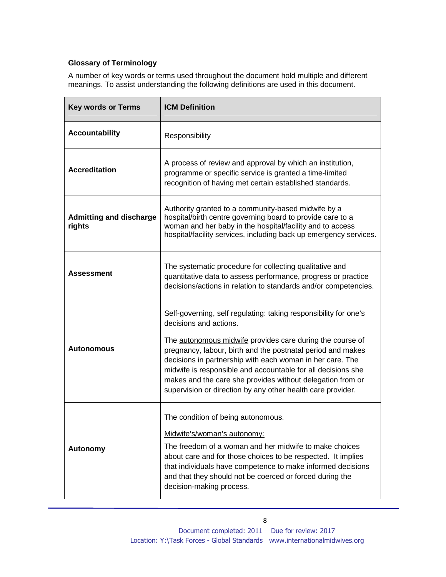# **Glossary of Terminology**

A number of key words or terms used throughout the document hold multiple and different meanings. To assist understanding the following definitions are used in this document.

| <b>Key words or Terms</b>                | <b>ICM Definition</b>                                                                                                                                                                                                                                                                                                                                                                                                                                                            |  |
|------------------------------------------|----------------------------------------------------------------------------------------------------------------------------------------------------------------------------------------------------------------------------------------------------------------------------------------------------------------------------------------------------------------------------------------------------------------------------------------------------------------------------------|--|
| <b>Accountability</b>                    | Responsibility                                                                                                                                                                                                                                                                                                                                                                                                                                                                   |  |
| <b>Accreditation</b>                     | A process of review and approval by which an institution,<br>programme or specific service is granted a time-limited<br>recognition of having met certain established standards.                                                                                                                                                                                                                                                                                                 |  |
| <b>Admitting and discharge</b><br>rights | Authority granted to a community-based midwife by a<br>hospital/birth centre governing board to provide care to a<br>woman and her baby in the hospital/facility and to access<br>hospital/facility services, including back up emergency services.                                                                                                                                                                                                                              |  |
| <b>Assessment</b>                        | The systematic procedure for collecting qualitative and<br>quantitative data to assess performance, progress or practice<br>decisions/actions in relation to standards and/or competencies.                                                                                                                                                                                                                                                                                      |  |
| <b>Autonomous</b>                        | Self-governing, self regulating: taking responsibility for one's<br>decisions and actions.<br>The autonomous midwife provides care during the course of<br>pregnancy, labour, birth and the postnatal period and makes<br>decisions in partnership with each woman in her care. The<br>midwife is responsible and accountable for all decisions she<br>makes and the care she provides without delegation from or<br>supervision or direction by any other health care provider. |  |
| <b>Autonomy</b>                          | The condition of being autonomous.<br>Midwife's/woman's autonomy:<br>The freedom of a woman and her midwife to make choices<br>about care and for those choices to be respected. It implies<br>that individuals have competence to make informed decisions<br>and that they should not be coerced or forced during the<br>decision-making process.                                                                                                                               |  |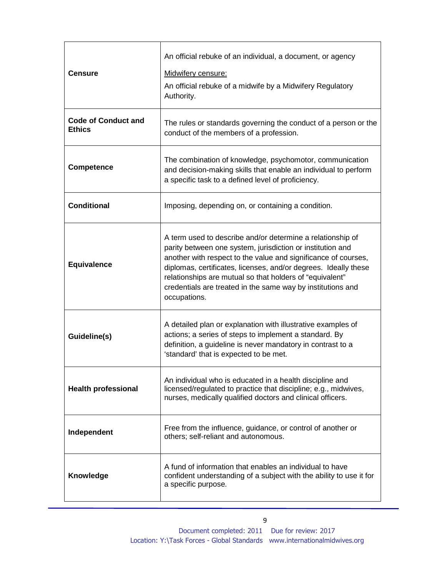| <b>Censure</b>                              | An official rebuke of an individual, a document, or agency<br>Midwifery censure:<br>An official rebuke of a midwife by a Midwifery Regulatory<br>Authority.                                                                                                                                                                                                                                              |  |
|---------------------------------------------|----------------------------------------------------------------------------------------------------------------------------------------------------------------------------------------------------------------------------------------------------------------------------------------------------------------------------------------------------------------------------------------------------------|--|
| <b>Code of Conduct and</b><br><b>Ethics</b> | The rules or standards governing the conduct of a person or the<br>conduct of the members of a profession.                                                                                                                                                                                                                                                                                               |  |
| <b>Competence</b>                           | The combination of knowledge, psychomotor, communication<br>and decision-making skills that enable an individual to perform<br>a specific task to a defined level of proficiency.                                                                                                                                                                                                                        |  |
| <b>Conditional</b>                          | Imposing, depending on, or containing a condition.                                                                                                                                                                                                                                                                                                                                                       |  |
| <b>Equivalence</b>                          | A term used to describe and/or determine a relationship of<br>parity between one system, jurisdiction or institution and<br>another with respect to the value and significance of courses,<br>diplomas, certificates, licenses, and/or degrees. Ideally these<br>relationships are mutual so that holders of "equivalent"<br>credentials are treated in the same way by institutions and<br>occupations. |  |
| Guideline(s)                                | A detailed plan or explanation with illustrative examples of<br>actions; a series of steps to implement a standard. By<br>definition, a guideline is never mandatory in contrast to a<br>'standard' that is expected to be met.                                                                                                                                                                          |  |
| <b>Health professional</b>                  | An individual who is educated in a health discipline and<br>licensed/regulated to practice that discipline; e.g., midwives,<br>nurses, medically qualified doctors and clinical officers.                                                                                                                                                                                                                |  |
| Independent                                 | Free from the influence, guidance, or control of another or<br>others; self-reliant and autonomous.                                                                                                                                                                                                                                                                                                      |  |
| Knowledge                                   | A fund of information that enables an individual to have<br>confident understanding of a subject with the ability to use it for<br>a specific purpose.                                                                                                                                                                                                                                                   |  |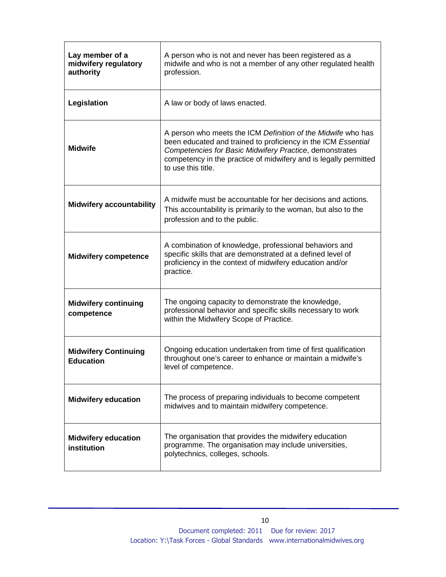| Lay member of a<br>midwifery regulatory<br>authority | A person who is not and never has been registered as a<br>midwife and who is not a member of any other regulated health<br>profession.                                                                                                                                             |  |
|------------------------------------------------------|------------------------------------------------------------------------------------------------------------------------------------------------------------------------------------------------------------------------------------------------------------------------------------|--|
| Legislation                                          | A law or body of laws enacted.                                                                                                                                                                                                                                                     |  |
| <b>Midwife</b>                                       | A person who meets the ICM Definition of the Midwife who has<br>been educated and trained to proficiency in the ICM Essential<br>Competencies for Basic Midwifery Practice, demonstrates<br>competency in the practice of midwifery and is legally permitted<br>to use this title. |  |
| <b>Midwifery accountability</b>                      | A midwife must be accountable for her decisions and actions.<br>This accountability is primarily to the woman, but also to the<br>profession and to the public.                                                                                                                    |  |
| <b>Midwifery competence</b>                          | A combination of knowledge, professional behaviors and<br>specific skills that are demonstrated at a defined level of<br>proficiency in the context of midwifery education and/or<br>practice.                                                                                     |  |
| <b>Midwifery continuing</b><br>competence            | The ongoing capacity to demonstrate the knowledge,<br>professional behavior and specific skills necessary to work<br>within the Midwifery Scope of Practice.                                                                                                                       |  |
| <b>Midwifery Continuing</b><br><b>Education</b>      | Ongoing education undertaken from time of first qualification<br>throughout one's career to enhance or maintain a midwife's<br>level of competence.                                                                                                                                |  |
| <b>Midwifery education</b>                           | The process of preparing individuals to become competent<br>midwives and to maintain midwifery competence.                                                                                                                                                                         |  |
| <b>Midwifery education</b><br>institution            | The organisation that provides the midwifery education<br>programme. The organisation may include universities,<br>polytechnics, colleges, schools.                                                                                                                                |  |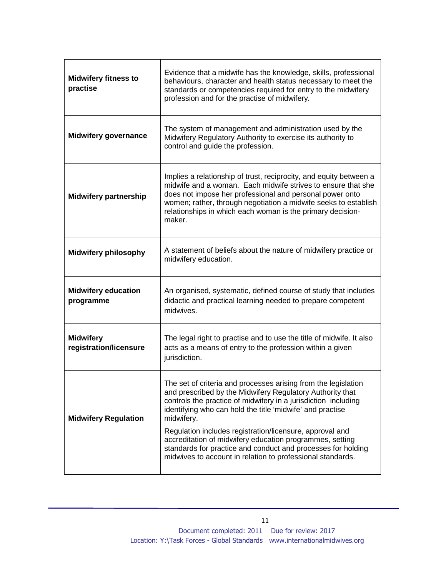| <b>Midwifery fitness to</b><br>practise    | Evidence that a midwife has the knowledge, skills, professional<br>behaviours, character and health status necessary to meet the<br>standards or competencies required for entry to the midwifery<br>profession and for the practise of midwifery.                                                                                                                                                                                                                                                                             |  |
|--------------------------------------------|--------------------------------------------------------------------------------------------------------------------------------------------------------------------------------------------------------------------------------------------------------------------------------------------------------------------------------------------------------------------------------------------------------------------------------------------------------------------------------------------------------------------------------|--|
| <b>Midwifery governance</b>                | The system of management and administration used by the<br>Midwifery Regulatory Authority to exercise its authority to<br>control and guide the profession.                                                                                                                                                                                                                                                                                                                                                                    |  |
| <b>Midwifery partnership</b>               | Implies a relationship of trust, reciprocity, and equity between a<br>midwife and a woman. Each midwife strives to ensure that she<br>does not impose her professional and personal power onto<br>women; rather, through negotiation a midwife seeks to establish<br>relationships in which each woman is the primary decision-<br>maker.                                                                                                                                                                                      |  |
| <b>Midwifery philosophy</b>                | A statement of beliefs about the nature of midwifery practice or<br>midwifery education.                                                                                                                                                                                                                                                                                                                                                                                                                                       |  |
| <b>Midwifery education</b><br>programme    | An organised, systematic, defined course of study that includes<br>didactic and practical learning needed to prepare competent<br>midwives.                                                                                                                                                                                                                                                                                                                                                                                    |  |
| <b>Midwifery</b><br>registration/licensure | The legal right to practise and to use the title of midwife. It also<br>acts as a means of entry to the profession within a given<br>jurisdiction.                                                                                                                                                                                                                                                                                                                                                                             |  |
| <b>Midwifery Regulation</b>                | The set of criteria and processes arising from the legislation<br>and prescribed by the Midwifery Regulatory Authority that<br>controls the practice of midwifery in a jurisdiction including<br>identifying who can hold the title 'midwife' and practise<br>midwifery.<br>Regulation includes registration/licensure, approval and<br>accreditation of midwifery education programmes, setting<br>standards for practice and conduct and processes for holding<br>midwives to account in relation to professional standards. |  |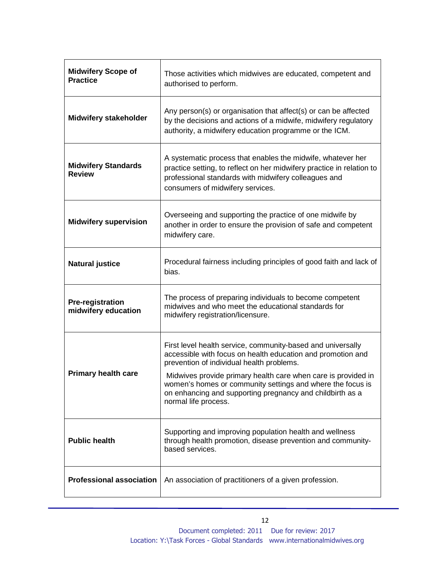| <b>Midwifery Scope of</b><br><b>Practice</b>   | Those activities which midwives are educated, competent and<br>authorised to perform.                                                                                                                                            |  |
|------------------------------------------------|----------------------------------------------------------------------------------------------------------------------------------------------------------------------------------------------------------------------------------|--|
| <b>Midwifery stakeholder</b>                   | Any person(s) or organisation that affect(s) or can be affected<br>by the decisions and actions of a midwife, midwifery regulatory<br>authority, a midwifery education programme or the ICM.                                     |  |
| <b>Midwifery Standards</b><br><b>Review</b>    | A systematic process that enables the midwife, whatever her<br>practice setting, to reflect on her midwifery practice in relation to<br>professional standards with midwifery colleagues and<br>consumers of midwifery services. |  |
| <b>Midwifery supervision</b>                   | Overseeing and supporting the practice of one midwife by<br>another in order to ensure the provision of safe and competent<br>midwifery care.                                                                                    |  |
| <b>Natural justice</b>                         | Procedural fairness including principles of good faith and lack of<br>bias.                                                                                                                                                      |  |
| <b>Pre-registration</b><br>midwifery education | The process of preparing individuals to become competent<br>midwives and who meet the educational standards for<br>midwifery registration/licensure.                                                                             |  |
|                                                | First level health service, community-based and universally<br>accessible with focus on health education and promotion and<br>prevention of individual health problems.                                                          |  |
| <b>Primary health care</b>                     | Midwives provide primary health care when care is provided in<br>women's homes or community settings and where the focus is<br>on enhancing and supporting pregnancy and childbirth as a<br>normal life process.                 |  |
| <b>Public health</b>                           | Supporting and improving population health and wellness<br>through health promotion, disease prevention and community-<br>based services.                                                                                        |  |
| <b>Professional association</b>                | An association of practitioners of a given profession.                                                                                                                                                                           |  |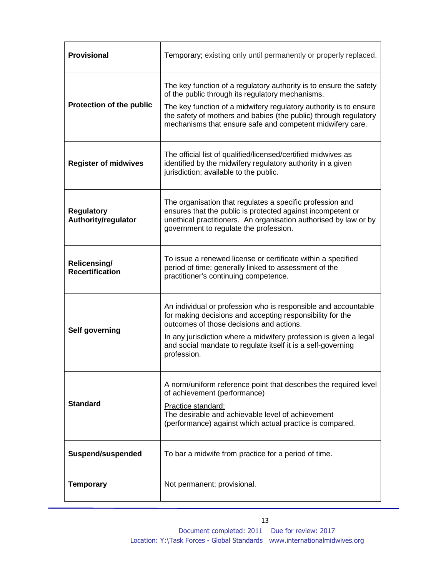| <b>Provisional</b>                       | Temporary; existing only until permanently or properly replaced.                                                                                                                                                                                                                                                             |  |
|------------------------------------------|------------------------------------------------------------------------------------------------------------------------------------------------------------------------------------------------------------------------------------------------------------------------------------------------------------------------------|--|
| Protection of the public                 | The key function of a regulatory authority is to ensure the safety<br>of the public through its regulatory mechanisms.<br>The key function of a midwifery regulatory authority is to ensure<br>the safety of mothers and babies (the public) through regulatory<br>mechanisms that ensure safe and competent midwifery care. |  |
| <b>Register of midwives</b>              | The official list of qualified/licensed/certified midwives as<br>identified by the midwifery regulatory authority in a given<br>jurisdiction; available to the public.                                                                                                                                                       |  |
| <b>Regulatory</b><br>Authority/regulator | The organisation that regulates a specific profession and<br>ensures that the public is protected against incompetent or<br>unethical practitioners. An organisation authorised by law or by<br>government to regulate the profession.                                                                                       |  |
| Relicensing/<br><b>Recertification</b>   | To issue a renewed license or certificate within a specified<br>period of time; generally linked to assessment of the<br>practitioner's continuing competence.                                                                                                                                                               |  |
| Self governing                           | An individual or profession who is responsible and accountable<br>for making decisions and accepting responsibility for the<br>outcomes of those decisions and actions.<br>In any jurisdiction where a midwifery profession is given a legal<br>and social mandate to regulate itself it is a self-governing<br>profession.  |  |
| <b>Standard</b>                          | A norm/uniform reference point that describes the required level<br>of achievement (performance)<br>Practice standard:<br>The desirable and achievable level of achievement<br>(performance) against which actual practice is compared.                                                                                      |  |
| Suspend/suspended                        | To bar a midwife from practice for a period of time.                                                                                                                                                                                                                                                                         |  |
| <b>Temporary</b>                         | Not permanent; provisional.                                                                                                                                                                                                                                                                                                  |  |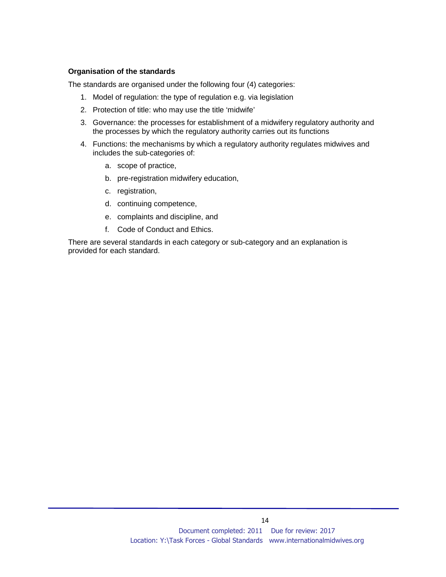## **Organisation of the standards**

The standards are organised under the following four (4) categories:

- 1. Model of regulation: the type of regulation e.g. via legislation
- 2. Protection of title: who may use the title 'midwife'
- 3. Governance: the processes for establishment of a midwifery regulatory authority and the processes by which the regulatory authority carries out its functions
- 4. Functions: the mechanisms by which a regulatory authority regulates midwives and includes the sub-categories of:
	- a. scope of practice,
	- b. pre-registration midwifery education,
	- c. registration,
	- d. continuing competence,
	- e. complaints and discipline, and
	- f. Code of Conduct and Ethics.

There are several standards in each category or sub-category and an explanation is provided for each standard.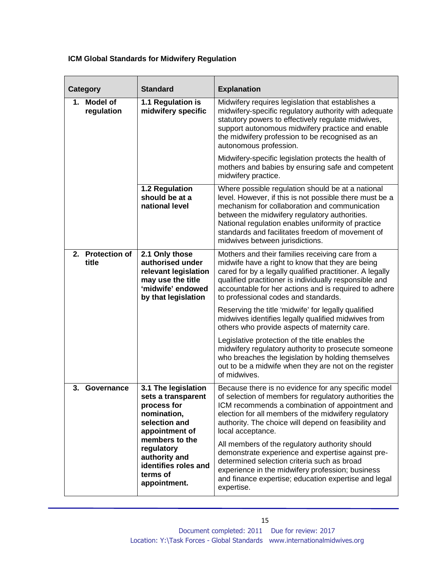# **ICM Global Standards for Midwifery Regulation**

| <b>Category</b>                                                                                   | <b>Standard</b>                                                                                                                                                                                                                                                              | <b>Explanation</b>                                                                                                                                                                                                                                                                                                                                          |
|---------------------------------------------------------------------------------------------------|------------------------------------------------------------------------------------------------------------------------------------------------------------------------------------------------------------------------------------------------------------------------------|-------------------------------------------------------------------------------------------------------------------------------------------------------------------------------------------------------------------------------------------------------------------------------------------------------------------------------------------------------------|
| 1. Model of<br>regulation                                                                         | 1.1 Regulation is<br>midwifery specific                                                                                                                                                                                                                                      | Midwifery requires legislation that establishes a<br>midwifery-specific regulatory authority with adequate<br>statutory powers to effectively regulate midwives,<br>support autonomous midwifery practice and enable<br>the midwifery profession to be recognised as an<br>autonomous profession.                                                           |
|                                                                                                   |                                                                                                                                                                                                                                                                              | Midwifery-specific legislation protects the health of<br>mothers and babies by ensuring safe and competent<br>midwifery practice.                                                                                                                                                                                                                           |
|                                                                                                   | 1.2 Regulation<br>should be at a<br>national level                                                                                                                                                                                                                           | Where possible regulation should be at a national<br>level. However, if this is not possible there must be a<br>mechanism for collaboration and communication<br>between the midwifery regulatory authorities.<br>National regulation enables uniformity of practice<br>standards and facilitates freedom of movement of<br>midwives between jurisdictions. |
| 2. Protection of<br>title                                                                         | 2.1 Only those<br>authorised under<br>relevant legislation<br>may use the title<br>'midwife' endowed<br>by that legislation                                                                                                                                                  | Mothers and their families receiving care from a<br>midwife have a right to know that they are being<br>cared for by a legally qualified practitioner. A legally<br>qualified practitioner is individually responsible and<br>accountable for her actions and is required to adhere<br>to professional codes and standards.                                 |
|                                                                                                   |                                                                                                                                                                                                                                                                              | Reserving the title 'midwife' for legally qualified<br>midwives identifies legally qualified midwives from<br>others who provide aspects of maternity care.                                                                                                                                                                                                 |
|                                                                                                   |                                                                                                                                                                                                                                                                              | Legislative protection of the title enables the<br>midwifery regulatory authority to prosecute someone<br>who breaches the legislation by holding themselves<br>out to be a midwife when they are not on the register<br>of midwives.                                                                                                                       |
| 3.<br>Governance                                                                                  | 3.1 The legislation<br>sets a transparent<br>process for<br>nomination,<br>selection and<br>appointment of                                                                                                                                                                   | Because there is no evidence for any specific model<br>of selection of members for regulatory authorities the<br>ICM recommends a combination of appointment and<br>election for all members of the midwifery regulatory<br>authority. The choice will depend on feasibility and<br>local acceptance.                                                       |
| members to the<br>regulatory<br>authority and<br>identifies roles and<br>terms of<br>appointment. | All members of the regulatory authority should<br>demonstrate experience and expertise against pre-<br>determined selection criteria such as broad<br>experience in the midwifery profession; business<br>and finance expertise; education expertise and legal<br>expertise. |                                                                                                                                                                                                                                                                                                                                                             |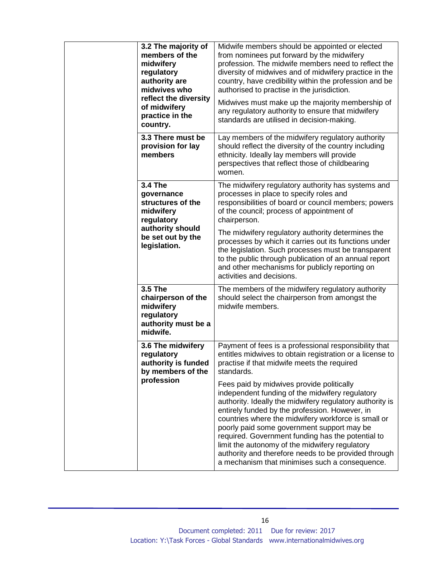| Midwife members should be appointed or elected<br>from nominees put forward by the midwifery<br>profession. The midwife members need to reflect the<br>diversity of midwives and of midwifery practice in the<br>country, have credibility within the profession and be<br>authorised to practise in the jurisdiction.<br>Midwives must make up the majority membership of<br>any regulatory authority to ensure that midwifery<br>standards are utilised in decision-making.                                                    |
|----------------------------------------------------------------------------------------------------------------------------------------------------------------------------------------------------------------------------------------------------------------------------------------------------------------------------------------------------------------------------------------------------------------------------------------------------------------------------------------------------------------------------------|
| Lay members of the midwifery regulatory authority<br>should reflect the diversity of the country including<br>ethnicity. Ideally lay members will provide<br>perspectives that reflect those of childbearing<br>women.                                                                                                                                                                                                                                                                                                           |
| The midwifery regulatory authority has systems and<br>processes in place to specify roles and<br>responsibilities of board or council members; powers<br>of the council; process of appointment of<br>chairperson.                                                                                                                                                                                                                                                                                                               |
| The midwifery regulatory authority determines the<br>processes by which it carries out its functions under<br>the legislation. Such processes must be transparent<br>to the public through publication of an annual report<br>and other mechanisms for publicly reporting on<br>activities and decisions.                                                                                                                                                                                                                        |
| The members of the midwifery regulatory authority<br>should select the chairperson from amongst the<br>midwife members.                                                                                                                                                                                                                                                                                                                                                                                                          |
| Payment of fees is a professional responsibility that<br>entitles midwives to obtain registration or a license to<br>practise if that midwife meets the required<br>standards.                                                                                                                                                                                                                                                                                                                                                   |
| Fees paid by midwives provide politically<br>independent funding of the midwifery regulatory<br>authority. Ideally the midwifery regulatory authority is<br>entirely funded by the profession. However, in<br>countries where the midwifery workforce is small or<br>poorly paid some government support may be<br>required. Government funding has the potential to<br>limit the autonomy of the midwifery regulatory<br>authority and therefore needs to be provided through<br>a mechanism that minimises such a consequence. |
|                                                                                                                                                                                                                                                                                                                                                                                                                                                                                                                                  |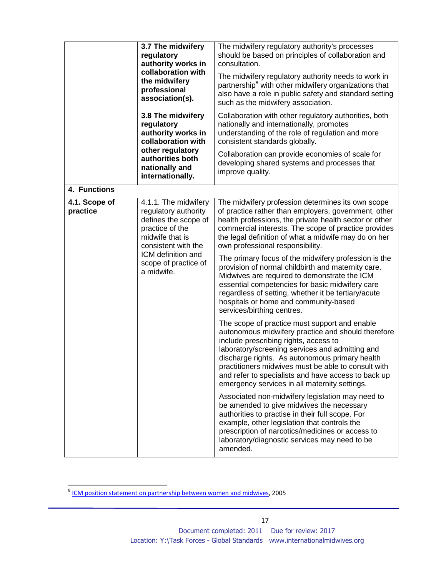| 3.7 The midwifery<br>regulatory<br>authority works in<br>collaboration with<br>the midwifery<br>professional<br>association(s).<br>3.8 The midwifery<br>regulatory<br>authority works in<br>collaboration with             | The midwifery regulatory authority's processes<br>should be based on principles of collaboration and<br>consultation.<br>The midwifery regulatory authority needs to work in<br>partnership <sup>8</sup> with other midwifery organizations that<br>also have a role in public safety and standard setting<br>such as the midwifery association.<br>Collaboration with other regulatory authorities, both                                                                                                                                                                                                                                                              |                                                                                                                                                                                                                                                                                                                                                                                                                  |
|----------------------------------------------------------------------------------------------------------------------------------------------------------------------------------------------------------------------------|------------------------------------------------------------------------------------------------------------------------------------------------------------------------------------------------------------------------------------------------------------------------------------------------------------------------------------------------------------------------------------------------------------------------------------------------------------------------------------------------------------------------------------------------------------------------------------------------------------------------------------------------------------------------|------------------------------------------------------------------------------------------------------------------------------------------------------------------------------------------------------------------------------------------------------------------------------------------------------------------------------------------------------------------------------------------------------------------|
|                                                                                                                                                                                                                            | nationally and internationally, promotes<br>understanding of the role of regulation and more<br>consistent standards globally.                                                                                                                                                                                                                                                                                                                                                                                                                                                                                                                                         |                                                                                                                                                                                                                                                                                                                                                                                                                  |
|                                                                                                                                                                                                                            | other regulatory<br>authorities both<br>nationally and<br>internationally.                                                                                                                                                                                                                                                                                                                                                                                                                                                                                                                                                                                             | Collaboration can provide economies of scale for<br>developing shared systems and processes that<br>improve quality.                                                                                                                                                                                                                                                                                             |
| 4. Functions                                                                                                                                                                                                               |                                                                                                                                                                                                                                                                                                                                                                                                                                                                                                                                                                                                                                                                        |                                                                                                                                                                                                                                                                                                                                                                                                                  |
| 4.1.1. The midwifery<br>4.1. Scope of<br>practice<br>regulatory authority<br>defines the scope of<br>practice of the<br>midwife that is<br>consistent with the<br>ICM definition and<br>scope of practice of<br>a midwife. | The midwifery profession determines its own scope<br>of practice rather than employers, government, other<br>health professions, the private health sector or other<br>commercial interests. The scope of practice provides<br>the legal definition of what a midwife may do on her<br>own professional responsibility.<br>The primary focus of the midwifery profession is the<br>provision of normal childbirth and maternity care.<br>Midwives are required to demonstrate the ICM<br>essential competencies for basic midwifery care<br>regardless of setting, whether it be tertiary/acute<br>hospitals or home and community-based<br>services/birthing centres. |                                                                                                                                                                                                                                                                                                                                                                                                                  |
|                                                                                                                                                                                                                            |                                                                                                                                                                                                                                                                                                                                                                                                                                                                                                                                                                                                                                                                        | The scope of practice must support and enable<br>autonomous midwifery practice and should therefore<br>include prescribing rights, access to<br>laboratory/screening services and admitting and<br>discharge rights. As autonomous primary health<br>practitioners midwives must be able to consult with<br>and refer to specialists and have access to back up<br>emergency services in all maternity settings. |
|                                                                                                                                                                                                                            |                                                                                                                                                                                                                                                                                                                                                                                                                                                                                                                                                                                                                                                                        | Associated non-midwifery legislation may need to<br>be amended to give midwives the necessary<br>authorities to practise in their full scope. For<br>example, other legislation that controls the<br>prescription of narcotics/medicines or access to<br>laboratory/diagnostic services may need to be<br>amended.                                                                                               |

 8 ICM position statement on partnership between women and midwives, 2005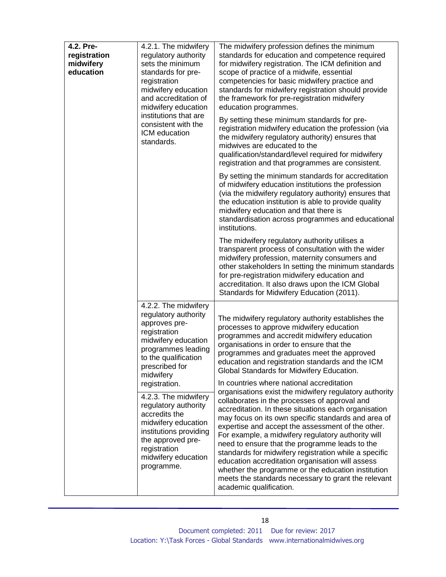| 4.2. Pre-<br>4.2.1. The midwifery<br>regulatory authority<br>registration<br>sets the minimum<br>midwifery<br>education<br>standards for pre-<br>registration<br>midwifery education<br>and accreditation of<br>midwifery education<br>institutions that are<br>consistent with the<br>ICM education<br>standards. | The midwifery profession defines the minimum<br>standards for education and competence required<br>for midwifery registration. The ICM definition and<br>scope of practice of a midwife, essential<br>competencies for basic midwifery practice and<br>standards for midwifery registration should provide<br>the framework for pre-registration midwifery<br>education programmes. |                                                                                                                                                                                                                                                                                                                                                                                                                                                                                                                                                                                                                                          |
|--------------------------------------------------------------------------------------------------------------------------------------------------------------------------------------------------------------------------------------------------------------------------------------------------------------------|-------------------------------------------------------------------------------------------------------------------------------------------------------------------------------------------------------------------------------------------------------------------------------------------------------------------------------------------------------------------------------------|------------------------------------------------------------------------------------------------------------------------------------------------------------------------------------------------------------------------------------------------------------------------------------------------------------------------------------------------------------------------------------------------------------------------------------------------------------------------------------------------------------------------------------------------------------------------------------------------------------------------------------------|
|                                                                                                                                                                                                                                                                                                                    | By setting these minimum standards for pre-<br>registration midwifery education the profession (via<br>the midwifery regulatory authority) ensures that<br>midwives are educated to the<br>qualification/standard/level required for midwifery<br>registration and that programmes are consistent.                                                                                  |                                                                                                                                                                                                                                                                                                                                                                                                                                                                                                                                                                                                                                          |
|                                                                                                                                                                                                                                                                                                                    |                                                                                                                                                                                                                                                                                                                                                                                     | By setting the minimum standards for accreditation<br>of midwifery education institutions the profession<br>(via the midwifery regulatory authority) ensures that<br>the education institution is able to provide quality<br>midwifery education and that there is<br>standardisation across programmes and educational<br>institutions.                                                                                                                                                                                                                                                                                                 |
|                                                                                                                                                                                                                                                                                                                    |                                                                                                                                                                                                                                                                                                                                                                                     | The midwifery regulatory authority utilises a<br>transparent process of consultation with the wider<br>midwifery profession, maternity consumers and<br>other stakeholders In setting the minimum standards<br>for pre-registration midwifery education and<br>accreditation. It also draws upon the ICM Global<br>Standards for Midwifery Education (2011).                                                                                                                                                                                                                                                                             |
|                                                                                                                                                                                                                                                                                                                    | 4.2.2. The midwifery<br>regulatory authority<br>approves pre-<br>registration<br>midwifery education<br>programmes leading<br>to the qualification<br>prescribed for<br>midwifery<br>registration.                                                                                                                                                                                  | The midwifery regulatory authority establishes the<br>processes to approve midwifery education<br>programmes and accredit midwifery education<br>organisations in order to ensure that the<br>programmes and graduates meet the approved<br>education and registration standards and the ICM<br>Global Standards for Midwifery Education.<br>In countries where national accreditation                                                                                                                                                                                                                                                   |
| accredits the<br>registration<br>programme.                                                                                                                                                                                                                                                                        | 4.2.3. The midwifery<br>regulatory authority<br>midwifery education<br>institutions providing<br>the approved pre-<br>midwifery education                                                                                                                                                                                                                                           | organisations exist the midwifery regulatory authority<br>collaborates in the processes of approval and<br>accreditation. In these situations each organisation<br>may focus on its own specific standards and area of<br>expertise and accept the assessment of the other.<br>For example, a midwifery regulatory authority will<br>need to ensure that the programme leads to the<br>standards for midwifery registration while a specific<br>education accreditation organisation will assess<br>whether the programme or the education institution<br>meets the standards necessary to grant the relevant<br>academic qualification. |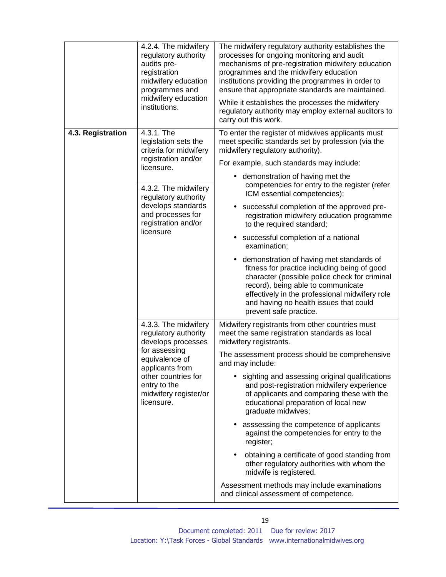|                   | 4.2.4. The midwifery<br>regulatory authority<br>audits pre-<br>registration<br>midwifery education<br>programmes and<br>midwifery education<br>institutions.                                           | The midwifery regulatory authority establishes the<br>processes for ongoing monitoring and audit<br>mechanisms of pre-registration midwifery education<br>programmes and the midwifery education<br>institutions providing the programmes in order to<br>ensure that appropriate standards are maintained.<br>While it establishes the processes the midwifery<br>regulatory authority may employ external auditors to<br>carry out this work.                                                                                                                                                                                                                                                                                                                     |
|-------------------|--------------------------------------------------------------------------------------------------------------------------------------------------------------------------------------------------------|--------------------------------------------------------------------------------------------------------------------------------------------------------------------------------------------------------------------------------------------------------------------------------------------------------------------------------------------------------------------------------------------------------------------------------------------------------------------------------------------------------------------------------------------------------------------------------------------------------------------------------------------------------------------------------------------------------------------------------------------------------------------|
| 4.3. Registration | 4.3.1. The<br>legislation sets the<br>criteria for midwifery<br>registration and/or<br>licensure.<br>4.3.2. The midwifery<br>regulatory authority                                                      | To enter the register of midwives applicants must<br>meet specific standards set by profession (via the<br>midwifery regulatory authority).<br>For example, such standards may include:<br>demonstration of having met the<br>$\bullet$<br>competencies for entry to the register (refer<br>ICM essential competencies);                                                                                                                                                                                                                                                                                                                                                                                                                                           |
|                   | develops standards<br>and processes for<br>registration and/or<br>licensure                                                                                                                            | successful completion of the approved pre-<br>$\bullet$<br>registration midwifery education programme<br>to the required standard;<br>successful completion of a national<br>$\bullet$<br>examination;<br>demonstration of having met standards of<br>٠<br>fitness for practice including being of good<br>character (possible police check for criminal<br>record), being able to communicate<br>effectively in the professional midwifery role<br>and having no health issues that could<br>prevent safe practice.                                                                                                                                                                                                                                               |
|                   | 4.3.3. The midwifery<br>regulatory authority<br>develops processes<br>for assessing<br>equivalence of<br>applicants from<br>other countries for<br>entry to the<br>midwifery register/or<br>licensure. | Midwifery registrants from other countries must<br>meet the same registration standards as local<br>midwifery registrants.<br>The assessment process should be comprehensive<br>and may include:<br>sighting and assessing original qualifications<br>$\bullet$<br>and post-registration midwifery experience<br>of applicants and comparing these with the<br>educational preparation of local new<br>graduate midwives;<br>asssessing the competence of applicants<br>٠<br>against the competencies for entry to the<br>register;<br>obtaining a certificate of good standing from<br>$\bullet$<br>other regulatory authorities with whom the<br>midwife is registered.<br>Assessment methods may include examinations<br>and clinical assessment of competence. |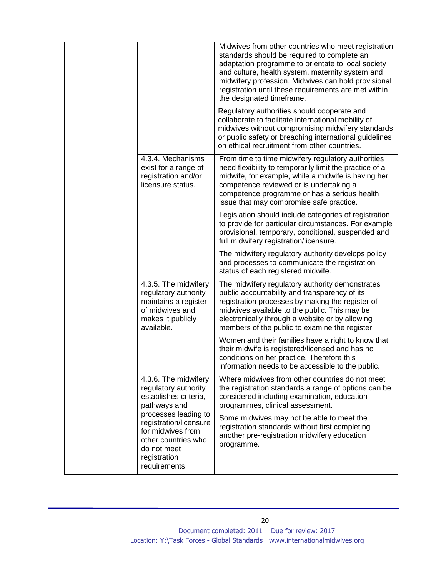|                                                                                                                                                                                                                                     | Midwives from other countries who meet registration<br>standards should be required to complete an<br>adaptation programme to orientate to local society<br>and culture, health system, maternity system and<br>midwifery profession. Midwives can hold provisional<br>registration until these requirements are met within<br>the designated timeframe. |
|-------------------------------------------------------------------------------------------------------------------------------------------------------------------------------------------------------------------------------------|----------------------------------------------------------------------------------------------------------------------------------------------------------------------------------------------------------------------------------------------------------------------------------------------------------------------------------------------------------|
|                                                                                                                                                                                                                                     | Regulatory authorities should cooperate and<br>collaborate to facilitate international mobility of<br>midwives without compromising midwifery standards<br>or public safety or breaching international guidelines<br>on ethical recruitment from other countries.                                                                                        |
| 4.3.4. Mechanisms<br>exist for a range of<br>registration and/or<br>licensure status.                                                                                                                                               | From time to time midwifery regulatory authorities<br>need flexibility to temporarily limit the practice of a<br>midwife, for example, while a midwife is having her<br>competence reviewed or is undertaking a<br>competence programme or has a serious health<br>issue that may compromise safe practice.                                              |
|                                                                                                                                                                                                                                     | Legislation should include categories of registration<br>to provide for particular circumstances. For example<br>provisional, temporary, conditional, suspended and<br>full midwifery registration/licensure.                                                                                                                                            |
|                                                                                                                                                                                                                                     | The midwifery regulatory authority develops policy<br>and processes to communicate the registration<br>status of each registered midwife.                                                                                                                                                                                                                |
| 4.3.5. The midwifery<br>regulatory authority<br>maintains a register<br>of midwives and<br>makes it publicly<br>available.                                                                                                          | The midwifery regulatory authority demonstrates<br>public accountability and transparency of its<br>registration processes by making the register of<br>midwives available to the public. This may be<br>electronically through a website or by allowing<br>members of the public to examine the register.                                               |
|                                                                                                                                                                                                                                     | Women and their families have a right to know that<br>their midwife is registered/licensed and has no<br>conditions on her practice. Therefore this<br>information needs to be accessible to the public.                                                                                                                                                 |
| 4.3.6. The midwifery<br>regulatory authority<br>establishes criteria,<br>pathways and<br>processes leading to<br>registration/licensure<br>for midwives from<br>other countries who<br>do not meet<br>registration<br>requirements. | Where midwives from other countries do not meet<br>the registration standards a range of options can be<br>considered including examination, education<br>programmes, clinical assessment.                                                                                                                                                               |
|                                                                                                                                                                                                                                     | Some midwives may not be able to meet the<br>registration standards without first completing<br>another pre-registration midwifery education<br>programme.                                                                                                                                                                                               |
|                                                                                                                                                                                                                                     |                                                                                                                                                                                                                                                                                                                                                          |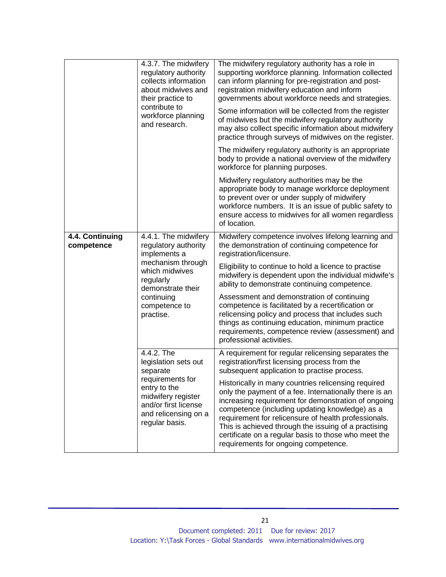|                               | 4.3.7. The midwifery<br>regulatory authority<br>collects information<br>about midwives and<br>their practice to<br>contribute to<br>workforce planning<br>and research.           | The midwifery regulatory authority has a role in<br>supporting workforce planning. Information collected<br>can inform planning for pre-registration and post-<br>registration midwifery education and inform<br>governments about workforce needs and strategies.<br>Some information will be collected from the register<br>of midwives but the midwifery regulatory authority<br>may also collect specific information about midwifery<br>practice through surveys of midwives on the register.<br>The midwifery regulatory authority is an appropriate<br>body to provide a national overview of the midwifery |
|-------------------------------|-----------------------------------------------------------------------------------------------------------------------------------------------------------------------------------|--------------------------------------------------------------------------------------------------------------------------------------------------------------------------------------------------------------------------------------------------------------------------------------------------------------------------------------------------------------------------------------------------------------------------------------------------------------------------------------------------------------------------------------------------------------------------------------------------------------------|
|                               |                                                                                                                                                                                   | workforce for planning purposes.<br>Midwifery regulatory authorities may be the<br>appropriate body to manage workforce deployment<br>to prevent over or under supply of midwifery<br>workforce numbers. It is an issue of public safety to<br>ensure access to midwives for all women regardless<br>of location.                                                                                                                                                                                                                                                                                                  |
| 4.4. Continuing<br>competence | 4.4.1. The midwifery<br>regulatory authority<br>implements a<br>mechanism through<br>which midwives<br>regularly<br>demonstrate their<br>continuing<br>competence to<br>practise. | Midwifery competence involves lifelong learning and<br>the demonstration of continuing competence for<br>registration/licensure.<br>Eligibility to continue to hold a licence to practise<br>midwifery is dependent upon the individual midwife's<br>ability to demonstrate continuing competence.<br>Assessment and demonstration of continuing<br>competence is facilitated by a recertification or<br>relicensing policy and process that includes such<br>things as continuing education, minimum practice<br>requirements, competence review (assessment) and<br>professional activities.                     |
|                               | 4.4.2. The<br>legislation sets out<br>separate<br>requirements for<br>entry to the<br>midwifery register<br>and/or first license<br>and relicensing on a<br>regular basis.        | A requirement for regular relicensing separates the<br>registration/first licensing process from the<br>subsequent application to practise process.<br>Historically in many countries relicensing required<br>only the payment of a fee. Internationally there is an<br>increasing requirement for demonstration of ongoing<br>competence (including updating knowledge) as a<br>requirement for relicensure of health professionals.<br>This is achieved through the issuing of a practising<br>certificate on a regular basis to those who meet the<br>requirements for ongoing competence.                      |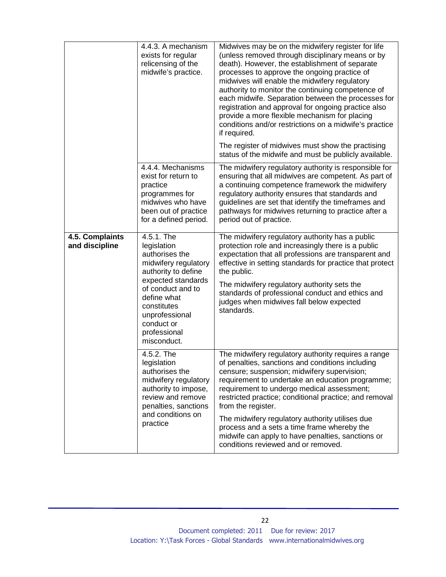|                                   | 4.4.3. A mechanism<br>exists for regular<br>relicensing of the<br>midwife's practice.                                                                                                                                              | Midwives may be on the midwifery register for life<br>(unless removed through disciplinary means or by<br>death). However, the establishment of separate<br>processes to approve the ongoing practice of<br>midwives will enable the midwifery regulatory<br>authority to monitor the continuing competence of<br>each midwife. Separation between the processes for<br>registration and approval for ongoing practice also<br>provide a more flexible mechanism for placing<br>conditions and/or restrictions on a midwife's practice<br>if required. |
|-----------------------------------|------------------------------------------------------------------------------------------------------------------------------------------------------------------------------------------------------------------------------------|--------------------------------------------------------------------------------------------------------------------------------------------------------------------------------------------------------------------------------------------------------------------------------------------------------------------------------------------------------------------------------------------------------------------------------------------------------------------------------------------------------------------------------------------------------|
|                                   |                                                                                                                                                                                                                                    | The register of midwives must show the practising<br>status of the midwife and must be publicly available.                                                                                                                                                                                                                                                                                                                                                                                                                                             |
|                                   | 4.4.4. Mechanisms<br>exist for return to<br>practice<br>programmes for<br>midwives who have<br>been out of practice<br>for a defined period.                                                                                       | The midwifery regulatory authority is responsible for<br>ensuring that all midwives are competent. As part of<br>a continuing competence framework the midwifery<br>regulatory authority ensures that standards and<br>guidelines are set that identify the timeframes and<br>pathways for midwives returning to practice after a<br>period out of practice.                                                                                                                                                                                           |
| 4.5. Complaints<br>and discipline | 4.5.1. The<br>legislation<br>authorises the<br>midwifery regulatory<br>authority to define<br>expected standards<br>of conduct and to<br>define what<br>constitutes<br>unprofessional<br>conduct or<br>professional<br>misconduct. | The midwifery regulatory authority has a public<br>protection role and increasingly there is a public<br>expectation that all professions are transparent and<br>effective in setting standards for practice that protect<br>the public.<br>The midwifery regulatory authority sets the<br>standards of professional conduct and ethics and<br>judges when midwives fall below expected<br>standards.                                                                                                                                                  |
|                                   | 4.5.2. The<br>legislation<br>authorises the<br>midwifery regulatory<br>authority to impose,<br>review and remove<br>penalties, sanctions<br>and conditions on<br>practice                                                          | The midwifery regulatory authority requires a range<br>of penalties, sanctions and conditions including<br>censure; suspension; midwifery supervision;<br>requirement to undertake an education programme;<br>requirement to undergo medical assessment;<br>restricted practice; conditional practice; and removal<br>from the register.<br>The midwifery regulatory authority utilises due<br>process and a sets a time frame whereby the<br>midwife can apply to have penalties, sanctions or<br>conditions reviewed and or removed.                 |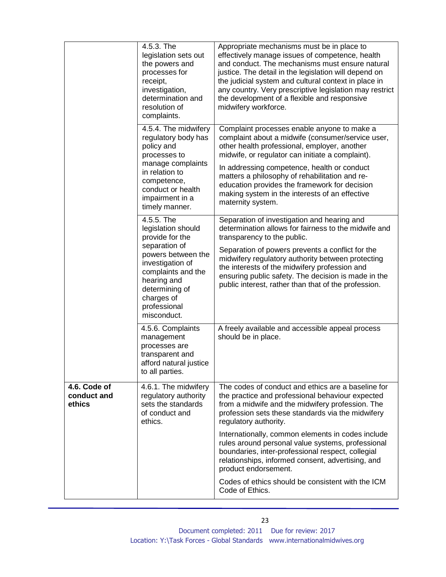|                                       | 4.5.3. The<br>legislation sets out<br>the powers and<br>processes for<br>receipt,<br>investigation,<br>determination and<br>resolution of<br>complaints.                                                           | Appropriate mechanisms must be in place to<br>effectively manage issues of competence, health<br>and conduct. The mechanisms must ensure natural<br>justice. The detail in the legislation will depend on<br>the judicial system and cultural context in place in<br>any country. Very prescriptive legislation may restrict<br>the development of a flexible and responsive<br>midwifery workforce.                          |
|---------------------------------------|--------------------------------------------------------------------------------------------------------------------------------------------------------------------------------------------------------------------|-------------------------------------------------------------------------------------------------------------------------------------------------------------------------------------------------------------------------------------------------------------------------------------------------------------------------------------------------------------------------------------------------------------------------------|
|                                       | 4.5.4. The midwifery<br>regulatory body has<br>policy and<br>processes to<br>manage complaints<br>in relation to<br>competence,<br>conduct or health<br>impairment in a<br>timely manner.                          | Complaint processes enable anyone to make a<br>complaint about a midwife (consumer/service user,<br>other health professional, employer, another<br>midwife, or regulator can initiate a complaint).<br>In addressing competence, health or conduct<br>matters a philosophy of rehabilitation and re-<br>education provides the framework for decision<br>making system in the interests of an effective<br>maternity system. |
|                                       | 4.5.5. The<br>legislation should<br>provide for the<br>separation of<br>powers between the<br>investigation of<br>complaints and the<br>hearing and<br>determining of<br>charges of<br>professional<br>misconduct. | Separation of investigation and hearing and<br>determination allows for fairness to the midwife and<br>transparency to the public.<br>Separation of powers prevents a conflict for the<br>midwifery regulatory authority between protecting<br>the interests of the midwifery profession and<br>ensuring public safety. The decision is made in the<br>public interest, rather than that of the profession.                   |
|                                       | 4.5.6. Complaints<br>management<br>processes are<br>transparent and<br>afford natural justice<br>to all parties.                                                                                                   | A freely available and accessible appeal process<br>should be in place.                                                                                                                                                                                                                                                                                                                                                       |
| 4.6. Code of<br>conduct and<br>ethics | 4.6.1. The midwifery<br>regulatory authority<br>sets the standards<br>of conduct and<br>ethics.                                                                                                                    | The codes of conduct and ethics are a baseline for<br>the practice and professional behaviour expected<br>from a midwife and the midwifery profession. The<br>profession sets these standards via the midwifery<br>regulatory authority.                                                                                                                                                                                      |
|                                       |                                                                                                                                                                                                                    | Internationally, common elements in codes include<br>rules around personal value systems, professional<br>boundaries, inter-professional respect, collegial<br>relationships, informed consent, advertising, and<br>product endorsement.                                                                                                                                                                                      |
|                                       |                                                                                                                                                                                                                    | Codes of ethics should be consistent with the ICM<br>Code of Ethics.                                                                                                                                                                                                                                                                                                                                                          |